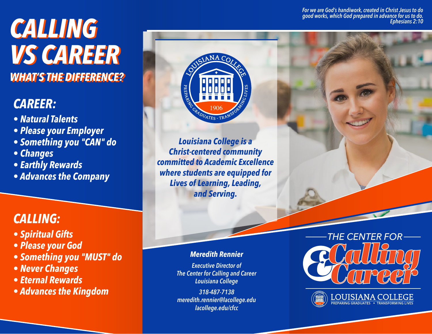*For we are God's handiwork, created in Christ Jesus to do good works, which God prepared in advance for us to do. Ephesians 2:10*

# *CALLING CALLING VS CAREER VS CAREER WHAT'S THE DIFFERENCE? WHAT'S THE DIFFERENCE?*

## *CAREER:*

- *Natural Talents*
- *Please your Employer*
- *Something you "CAN" do*
- *Changes*
- *Earthly Rewards*
- *Advances the Company*

### *CALLING:*

- *Spiritual Gifts*
- *Please your God*
- *Something you "MUST" do*
- *Never Changes*
- *Eternal Rewards*
- *Advances the Kingdom*



*Louisiana College is a Christ-centered community committed to Academic Excellence where students are equipped for Lives of Learning, Leading, and Serving.*

#### *Meredith Rennier*

*Executive Director of The Center for Calling and Career Louisiana College*

*318-487-7138 meredith.rennier@lacollege.edu lacollege.edu/cfcc*